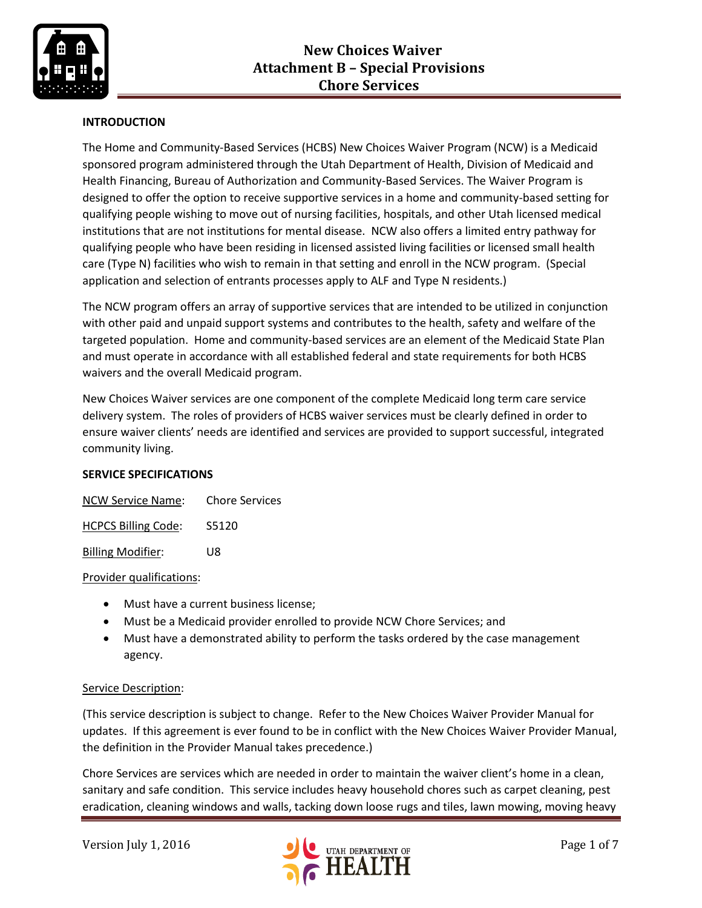

# **INTRODUCTION**

The Home and Community-Based Services (HCBS) New Choices Waiver Program (NCW) is a Medicaid sponsored program administered through the Utah Department of Health, Division of Medicaid and Health Financing, Bureau of Authorization and Community-Based Services. The Waiver Program is designed to offer the option to receive supportive services in a home and community-based setting for qualifying people wishing to move out of nursing facilities, hospitals, and other Utah licensed medical institutions that are not institutions for mental disease. NCW also offers a limited entry pathway for qualifying people who have been residing in licensed assisted living facilities or licensed small health care (Type N) facilities who wish to remain in that setting and enroll in the NCW program. (Special application and selection of entrants processes apply to ALF and Type N residents.)

The NCW program offers an array of supportive services that are intended to be utilized in conjunction with other paid and unpaid support systems and contributes to the health, safety and welfare of the targeted population. Home and community-based services are an element of the Medicaid State Plan and must operate in accordance with all established federal and state requirements for both HCBS waivers and the overall Medicaid program.

New Choices Waiver services are one component of the complete Medicaid long term care service delivery system. The roles of providers of HCBS waiver services must be clearly defined in order to ensure waiver clients' needs are identified and services are provided to support successful, integrated community living.

# **SERVICE SPECIFICATIONS**

| NCW Service Name:          | <b>Chore Services</b> |
|----------------------------|-----------------------|
| <b>HCPCS Billing Code:</b> | S5120                 |
| <b>Billing Modifier:</b>   | 1 I R                 |

#### Provider qualifications:

- Must have a current business license;
- Must be a Medicaid provider enrolled to provide NCW Chore Services; and
- Must have a demonstrated ability to perform the tasks ordered by the case management agency.

#### Service Description:

(This service description is subject to change. Refer to the New Choices Waiver Provider Manual for updates. If this agreement is ever found to be in conflict with the New Choices Waiver Provider Manual, the definition in the Provider Manual takes precedence.)

Chore Services are services which are needed in order to maintain the waiver client's home in a clean, sanitary and safe condition. This service includes heavy household chores such as carpet cleaning, pest eradication, cleaning windows and walls, tacking down loose rugs and tiles, lawn mowing, moving heavy

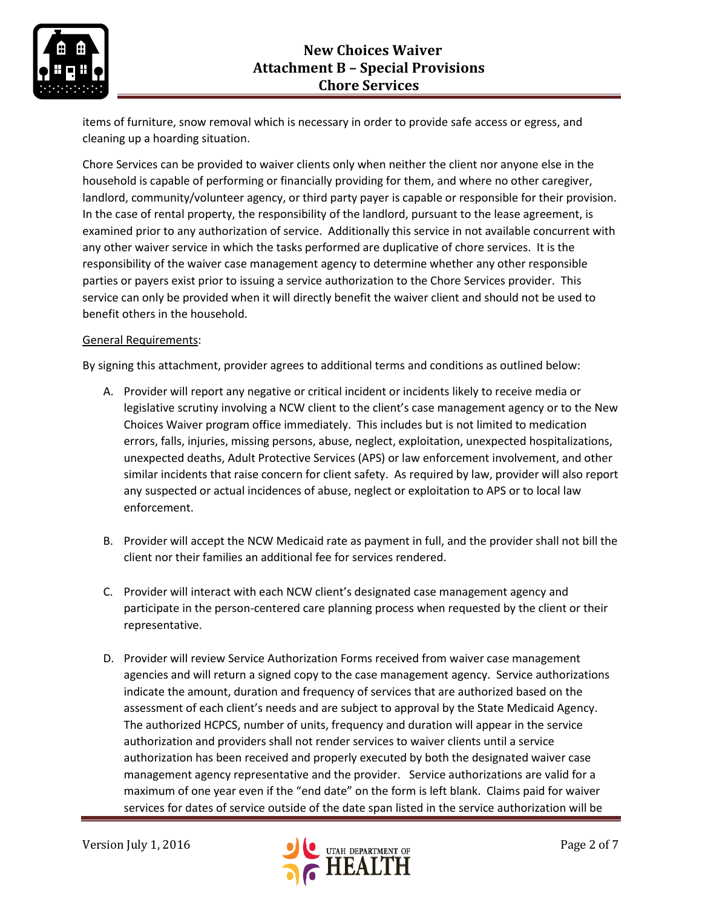

items of furniture, snow removal which is necessary in order to provide safe access or egress, and cleaning up a hoarding situation.

Chore Services can be provided to waiver clients only when neither the client nor anyone else in the household is capable of performing or financially providing for them, and where no other caregiver, landlord, community/volunteer agency, or third party payer is capable or responsible for their provision. In the case of rental property, the responsibility of the landlord, pursuant to the lease agreement, is examined prior to any authorization of service. Additionally this service in not available concurrent with any other waiver service in which the tasks performed are duplicative of chore services. It is the responsibility of the waiver case management agency to determine whether any other responsible parties or payers exist prior to issuing a service authorization to the Chore Services provider. This service can only be provided when it will directly benefit the waiver client and should not be used to benefit others in the household.

### General Requirements:

By signing this attachment, provider agrees to additional terms and conditions as outlined below:

- A. Provider will report any negative or critical incident or incidents likely to receive media or legislative scrutiny involving a NCW client to the client's case management agency or to the New Choices Waiver program office immediately. This includes but is not limited to medication errors, falls, injuries, missing persons, abuse, neglect, exploitation, unexpected hospitalizations, unexpected deaths, Adult Protective Services (APS) or law enforcement involvement, and other similar incidents that raise concern for client safety. As required by law, provider will also report any suspected or actual incidences of abuse, neglect or exploitation to APS or to local law enforcement.
- B. Provider will accept the NCW Medicaid rate as payment in full, and the provider shall not bill the client nor their families an additional fee for services rendered.
- C. Provider will interact with each NCW client's designated case management agency and participate in the person-centered care planning process when requested by the client or their representative.
- D. Provider will review Service Authorization Forms received from waiver case management agencies and will return a signed copy to the case management agency. Service authorizations indicate the amount, duration and frequency of services that are authorized based on the assessment of each client's needs and are subject to approval by the State Medicaid Agency. The authorized HCPCS, number of units, frequency and duration will appear in the service authorization and providers shall not render services to waiver clients until a service authorization has been received and properly executed by both the designated waiver case management agency representative and the provider. Service authorizations are valid for a maximum of one year even if the "end date" on the form is left blank. Claims paid for waiver services for dates of service outside of the date span listed in the service authorization will be

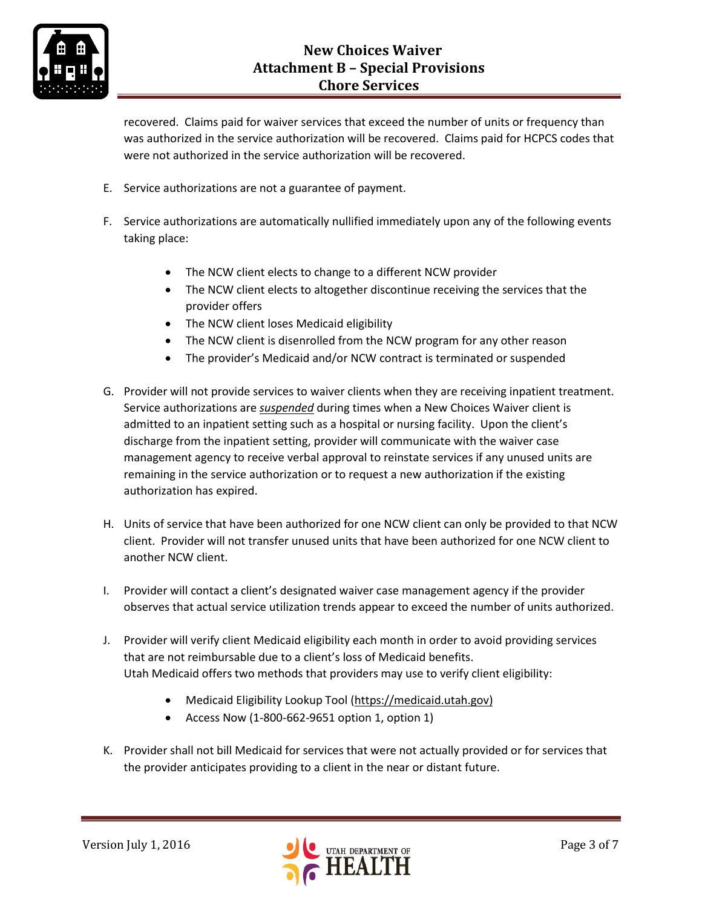

recovered. Claims paid for waiver services that exceed the number of units or frequency than was authorized in the service authorization will be recovered. Claims paid for HCPCS codes that were not authorized in the service authorization will be recovered.

- E. Service authorizations are not a guarantee of payment.
- F. Service authorizations are automatically nullified immediately upon any of the following events taking place:
	- The NCW client elects to change to a different NCW provider
	- The NCW client elects to altogether discontinue receiving the services that the provider offers
	- The NCW client loses Medicaid eligibility
	- The NCW client is disenrolled from the NCW program for any other reason
	- The provider's Medicaid and/or NCW contract is terminated or suspended
- G. Provider will not provide services to waiver clients when they are receiving inpatient treatment. Service authorizations are *suspended* during times when a New Choices Waiver client is admitted to an inpatient setting such as a hospital or nursing facility. Upon the client's discharge from the inpatient setting, provider will communicate with the waiver case management agency to receive verbal approval to reinstate services if any unused units are remaining in the service authorization or to request a new authorization if the existing authorization has expired.
- H. Units of service that have been authorized for one NCW client can only be provided to that NCW client. Provider will not transfer unused units that have been authorized for one NCW client to another NCW client.
- I. Provider will contact a client's designated waiver case management agency if the provider observes that actual service utilization trends appear to exceed the number of units authorized.
- J. Provider will verify client Medicaid eligibility each month in order to avoid providing services that are not reimbursable due to a client's loss of Medicaid benefits. Utah Medicaid offers two methods that providers may use to verify client eligibility:
	- Medicaid Eligibility Lookup Tool [\(https://medicaid.utah.gov\)](https://medicaid.utah.gov/)
	- Access Now (1-800-662-9651 option 1, option 1)
- K. Provider shall not bill Medicaid for services that were not actually provided or for services that the provider anticipates providing to a client in the near or distant future.

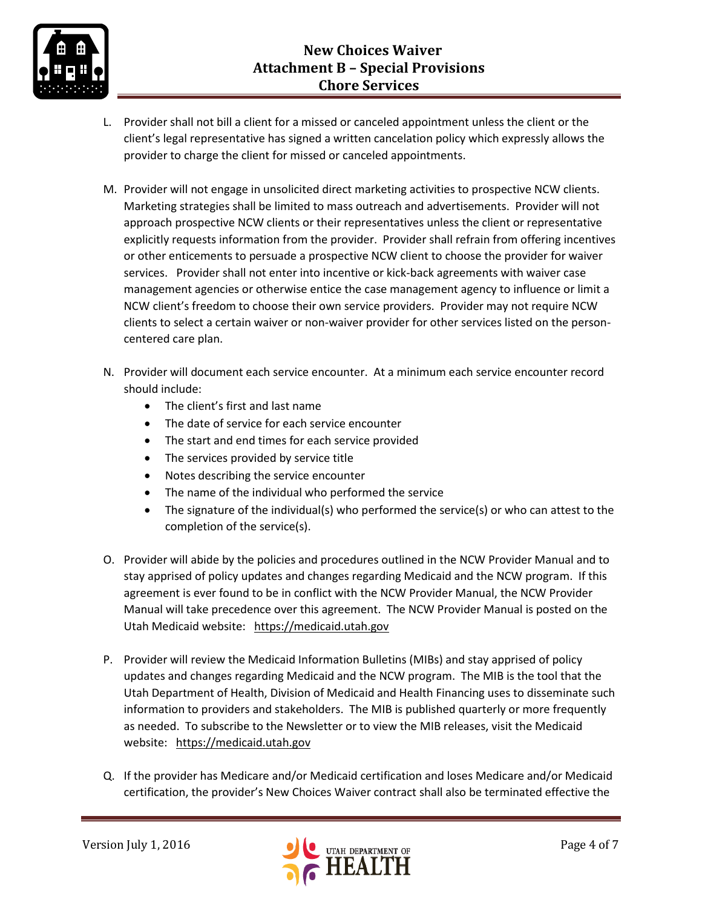

- L. Provider shall not bill a client for a missed or canceled appointment unless the client or the client's legal representative has signed a written cancelation policy which expressly allows the provider to charge the client for missed or canceled appointments.
- M. Provider will not engage in unsolicited direct marketing activities to prospective NCW clients. Marketing strategies shall be limited to mass outreach and advertisements. Provider will not approach prospective NCW clients or their representatives unless the client or representative explicitly requests information from the provider. Provider shall refrain from offering incentives or other enticements to persuade a prospective NCW client to choose the provider for waiver services. Provider shall not enter into incentive or kick-back agreements with waiver case management agencies or otherwise entice the case management agency to influence or limit a NCW client's freedom to choose their own service providers. Provider may not require NCW clients to select a certain waiver or non-waiver provider for other services listed on the personcentered care plan.
- N. Provider will document each service encounter. At a minimum each service encounter record should include:
	- The client's first and last name
	- The date of service for each service encounter
	- The start and end times for each service provided
	- The services provided by service title
	- Notes describing the service encounter
	- The name of the individual who performed the service
	- The signature of the individual(s) who performed the service(s) or who can attest to the completion of the service(s).
- O. Provider will abide by the policies and procedures outlined in the NCW Provider Manual and to stay apprised of policy updates and changes regarding Medicaid and the NCW program. If this agreement is ever found to be in conflict with the NCW Provider Manual, the NCW Provider Manual will take precedence over this agreement. The NCW Provider Manual is posted on the Utah Medicaid website: [https://medicaid.utah.gov](https://medicaid.utah.gov/)
- P. Provider will review the Medicaid Information Bulletins (MIBs) and stay apprised of policy updates and changes regarding Medicaid and the NCW program. The MIB is the tool that the Utah Department of Health, Division of Medicaid and Health Financing uses to disseminate such information to providers and stakeholders. The MIB is published quarterly or more frequently as needed. To subscribe to the Newsletter or to view the MIB releases, visit the Medicaid website: [https://medicaid.utah.gov](https://medicaid.utah.gov/)
- Q. If the provider has Medicare and/or Medicaid certification and loses Medicare and/or Medicaid certification, the provider's New Choices Waiver contract shall also be terminated effective the

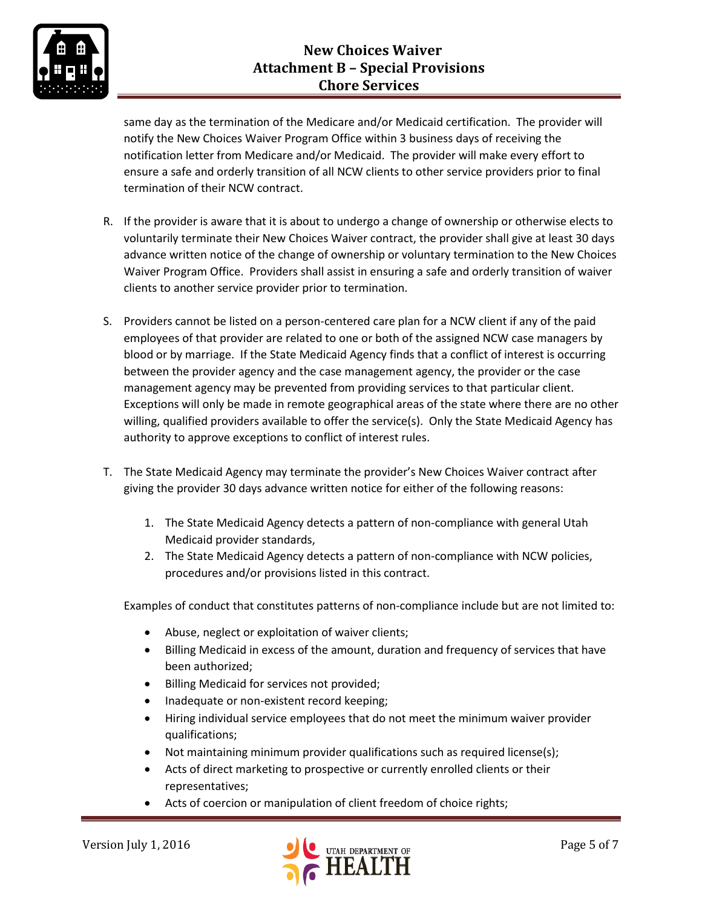

same day as the termination of the Medicare and/or Medicaid certification. The provider will notify the New Choices Waiver Program Office within 3 business days of receiving the notification letter from Medicare and/or Medicaid. The provider will make every effort to ensure a safe and orderly transition of all NCW clients to other service providers prior to final termination of their NCW contract.

- R. If the provider is aware that it is about to undergo a change of ownership or otherwise elects to voluntarily terminate their New Choices Waiver contract, the provider shall give at least 30 days advance written notice of the change of ownership or voluntary termination to the New Choices Waiver Program Office. Providers shall assist in ensuring a safe and orderly transition of waiver clients to another service provider prior to termination.
- S. Providers cannot be listed on a person-centered care plan for a NCW client if any of the paid employees of that provider are related to one or both of the assigned NCW case managers by blood or by marriage. If the State Medicaid Agency finds that a conflict of interest is occurring between the provider agency and the case management agency, the provider or the case management agency may be prevented from providing services to that particular client. Exceptions will only be made in remote geographical areas of the state where there are no other willing, qualified providers available to offer the service(s). Only the State Medicaid Agency has authority to approve exceptions to conflict of interest rules.
- T. The State Medicaid Agency may terminate the provider's New Choices Waiver contract after giving the provider 30 days advance written notice for either of the following reasons:
	- 1. The State Medicaid Agency detects a pattern of non-compliance with general Utah Medicaid provider standards,
	- 2. The State Medicaid Agency detects a pattern of non-compliance with NCW policies, procedures and/or provisions listed in this contract.

Examples of conduct that constitutes patterns of non-compliance include but are not limited to:

- Abuse, neglect or exploitation of waiver clients;
- Billing Medicaid in excess of the amount, duration and frequency of services that have been authorized;
- **•** Billing Medicaid for services not provided;
- Inadequate or non-existent record keeping;
- Hiring individual service employees that do not meet the minimum waiver provider qualifications;
- Not maintaining minimum provider qualifications such as required license(s);
- Acts of direct marketing to prospective or currently enrolled clients or their representatives;
- Acts of coercion or manipulation of client freedom of choice rights;

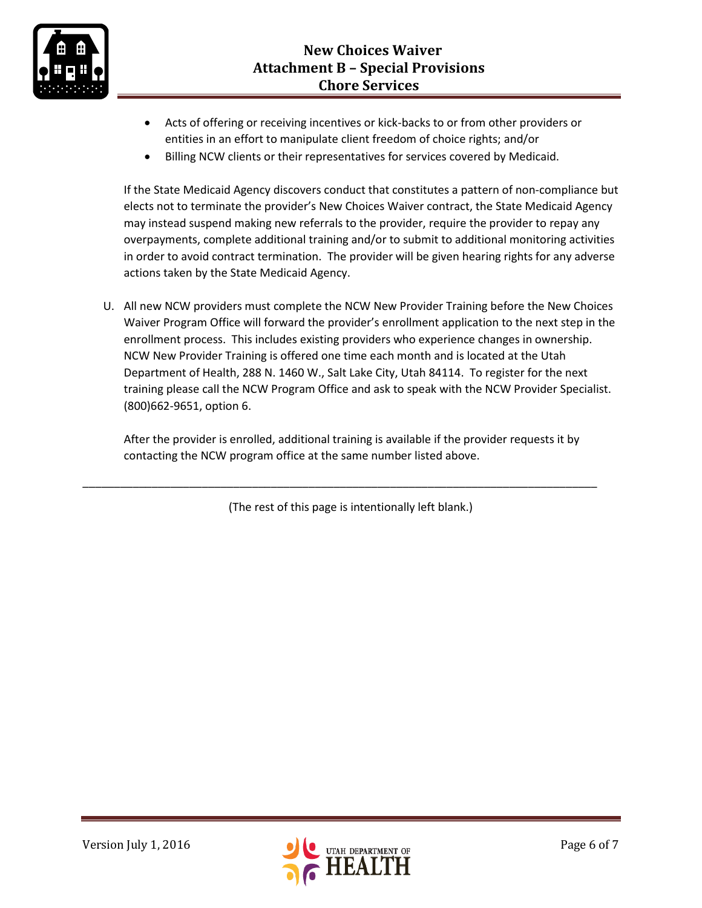

- Acts of offering or receiving incentives or kick-backs to or from other providers or entities in an effort to manipulate client freedom of choice rights; and/or
- Billing NCW clients or their representatives for services covered by Medicaid.

If the State Medicaid Agency discovers conduct that constitutes a pattern of non-compliance but elects not to terminate the provider's New Choices Waiver contract, the State Medicaid Agency may instead suspend making new referrals to the provider, require the provider to repay any overpayments, complete additional training and/or to submit to additional monitoring activities in order to avoid contract termination. The provider will be given hearing rights for any adverse actions taken by the State Medicaid Agency.

U. All new NCW providers must complete the NCW New Provider Training before the New Choices Waiver Program Office will forward the provider's enrollment application to the next step in the enrollment process. This includes existing providers who experience changes in ownership. NCW New Provider Training is offered one time each month and is located at the Utah Department of Health, 288 N. 1460 W., Salt Lake City, Utah 84114. To register for the next training please call the NCW Program Office and ask to speak with the NCW Provider Specialist. (800)662-9651, option 6.

After the provider is enrolled, additional training is available if the provider requests it by contacting the NCW program office at the same number listed above.

(The rest of this page is intentionally left blank.)

\_\_\_\_\_\_\_\_\_\_\_\_\_\_\_\_\_\_\_\_\_\_\_\_\_\_\_\_\_\_\_\_\_\_\_\_\_\_\_\_\_\_\_\_\_\_\_\_\_\_\_\_\_\_\_\_\_\_\_\_\_\_\_\_\_\_\_\_\_\_\_\_\_\_\_\_\_\_\_\_\_\_